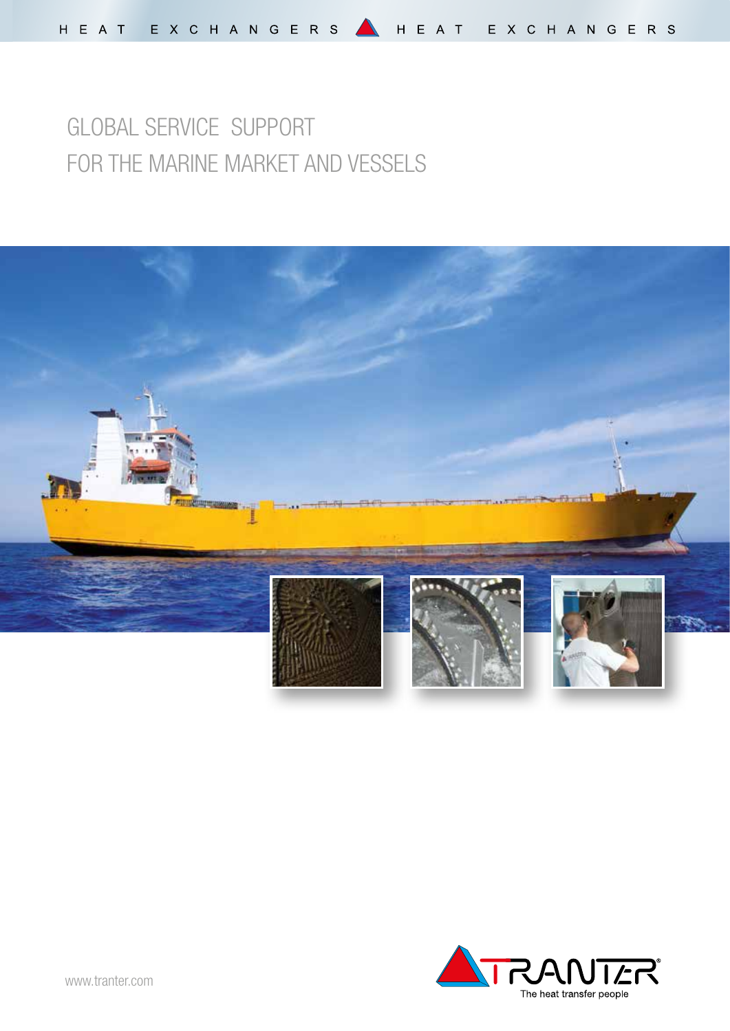# GLOBAL SERVICE SUPPORT FOR THE MARINE MARKET AND VESSELS



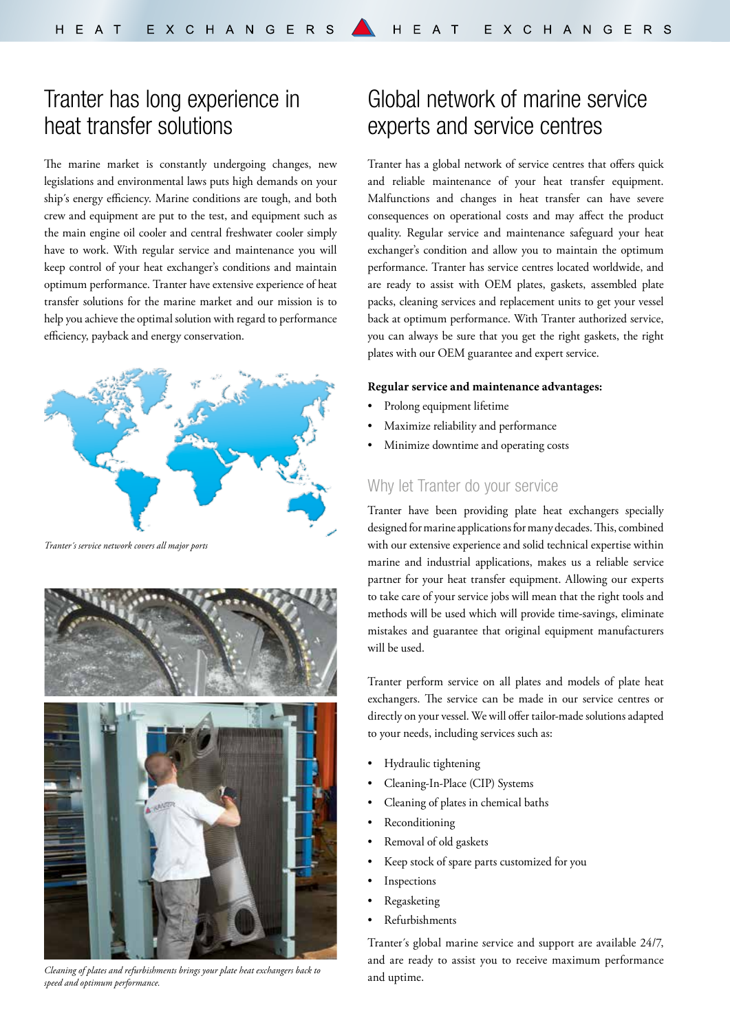## Tranter has long experience in heat transfer solutions

The marine market is constantly undergoing changes, new legislations and environmental laws puts high demands on your ship´s energy efficiency. Marine conditions are tough, and both crew and equipment are put to the test, and equipment such as the main engine oil cooler and central freshwater cooler simply have to work. With regular service and maintenance you will keep control of your heat exchanger's conditions and maintain optimum performance. Tranter have extensive experience of heat transfer solutions for the marine market and our mission is to help you achieve the optimal solution with regard to performance efficiency, payback and energy conservation.



*Tranter´s service network covers all major ports* 



*Cleaning of plates and refurbishments brings your plate heat exchangers back to speed and optimum performance.* 

## Global network of marine service experts and service centres

Tranter has a global network of service centres that offers quick and reliable maintenance of your heat transfer equipment. Malfunctions and changes in heat transfer can have severe consequences on operational costs and may affect the product quality. Regular service and maintenance safeguard your heat exchanger's condition and allow you to maintain the optimum performance. Tranter has service centres located worldwide, and are ready to assist with OEM plates, gaskets, assembled plate packs, cleaning services and replacement units to get your vessel back at optimum performance. With Tranter authorized service, you can always be sure that you get the right gaskets, the right plates with our OEM guarantee and expert service.

#### **Regular service and maintenance advantages:**

- Prolong equipment lifetime
- Maximize reliability and performance
- Minimize downtime and operating costs

### Why let Tranter do your service

Tranter have been providing plate heat exchangers specially designed for marine applications for many decades. This, combined with our extensive experience and solid technical expertise within marine and industrial applications, makes us a reliable service partner for your heat transfer equipment. Allowing our experts to take care of your service jobs will mean that the right tools and methods will be used which will provide time-savings, eliminate mistakes and guarantee that original equipment manufacturers will be used.

Tranter perform service on all plates and models of plate heat exchangers. The service can be made in our service centres or directly on your vessel. We will offer tailor-made solutions adapted to your needs, including services such as:

- Hydraulic tightening
- Cleaning-In-Place (CIP) Systems
- Cleaning of plates in chemical baths
- Reconditioning
- Removal of old gaskets
- Keep stock of spare parts customized for you
- **Inspections**
- Regasketing
- Refurbishments

Tranter´s global marine service and support are available 24/7, and are ready to assist you to receive maximum performance and uptime.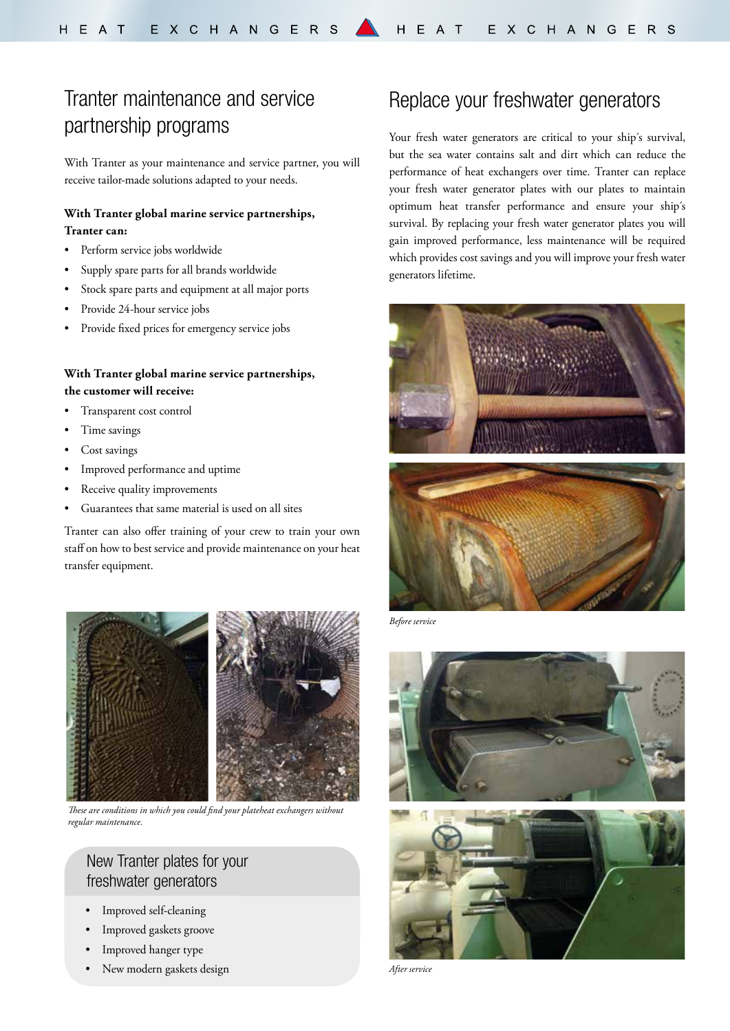## Tranter maintenance and service partnership programs

With Tranter as your maintenance and service partner, you will receive tailor-made solutions adapted to your needs.

### **With Tranter global marine service partnerships, Tranter can:**

- Perform service jobs worldwide
- Supply spare parts for all brands worldwide
- Stock spare parts and equipment at all major ports
- Provide 24-hour service jobs
- Provide fixed prices for emergency service jobs

### **With Tranter global marine service partnerships, the customer will receive:**

- Transparent cost control
- Time savings
- Cost savings
- Improved performance and uptime
- Receive quality improvements
- Guarantees that same material is used on all sites

Tranter can also offer training of your crew to train your own staff on how to best service and provide maintenance on your heat transfer equipment.



*These are conditions in which you could find your plateheat exchangers without regular maintenance.*

## New Tranter plates for your freshwater generators

- Improved self-cleaning
- Improved gaskets groove
- Improved hanger type
- New modern gaskets design

## Replace your freshwater generators

Your fresh water generators are critical to your ship's survival, but the sea water contains salt and dirt which can reduce the performance of heat exchangers over time. Tranter can replace your fresh water generator plates with our plates to maintain optimum heat transfer performance and ensure your ship´s survival. By replacing your fresh water generator plates you will gain improved performance, less maintenance will be required which provides cost savings and you will improve your fresh water generators lifetime.



*Before service*





*After service*